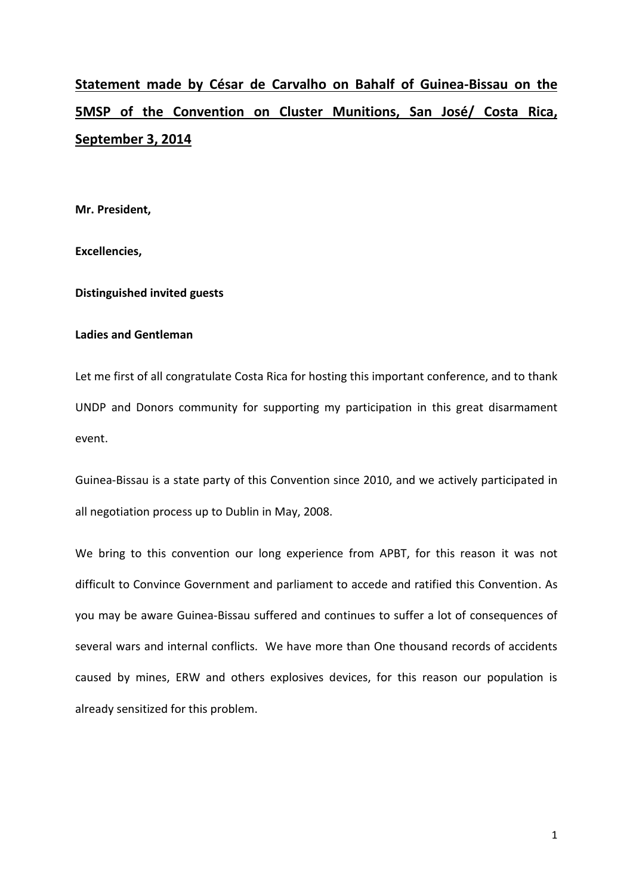# **Statement made by César de Carvalho on Bahalf of Guinea-Bissau on the 5MSP of the Convention on Cluster Munitions, San José/ Costa Rica, September 3, 2014**

**Mr. President,**

**Excellencies,**

**Distinguished invited guests** 

# **Ladies and Gentleman**

Let me first of all congratulate Costa Rica for hosting this important conference, and to thank UNDP and Donors community for supporting my participation in this great disarmament event.

Guinea-Bissau is a state party of this Convention since 2010, and we actively participated in all negotiation process up to Dublin in May, 2008.

We bring to this convention our long experience from APBT, for this reason it was not difficult to Convince Government and parliament to accede and ratified this Convention. As you may be aware Guinea-Bissau suffered and continues to suffer a lot of consequences of several wars and internal conflicts. We have more than One thousand records of accidents caused by mines, ERW and others explosives devices, for this reason our population is already sensitized for this problem.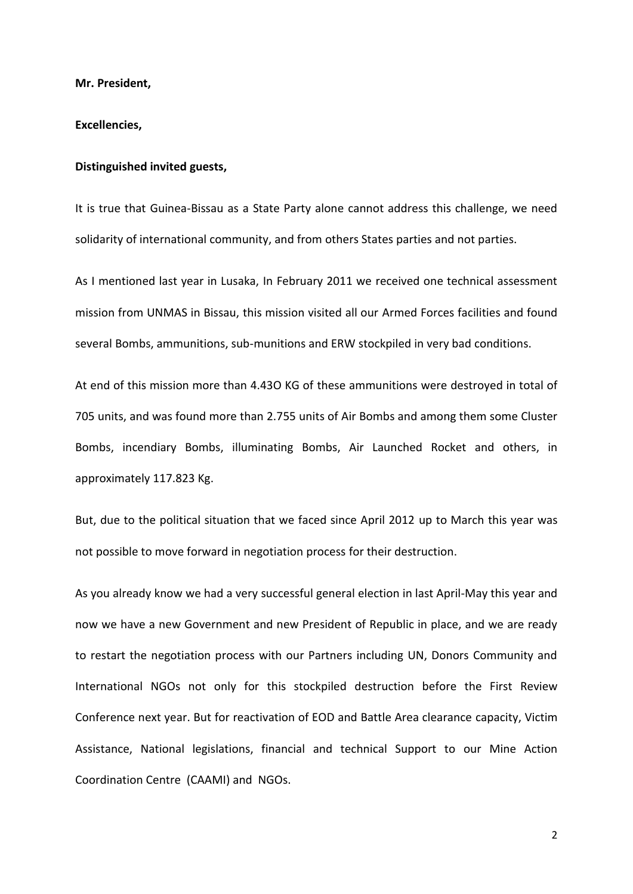**Mr. President,**

## **Excellencies,**

#### **Distinguished invited guests,**

It is true that Guinea-Bissau as a State Party alone cannot address this challenge, we need solidarity of international community, and from others States parties and not parties.

As I mentioned last year in Lusaka, In February 2011 we received one technical assessment mission from UNMAS in Bissau, this mission visited all our Armed Forces facilities and found several Bombs, ammunitions, sub-munitions and ERW stockpiled in very bad conditions.

At end of this mission more than 4.43O KG of these ammunitions were destroyed in total of 705 units, and was found more than 2.755 units of Air Bombs and among them some Cluster Bombs, incendiary Bombs, illuminating Bombs, Air Launched Rocket and others, in approximately 117.823 Kg.

But, due to the political situation that we faced since April 2012 up to March this year was not possible to move forward in negotiation process for their destruction.

As you already know we had a very successful general election in last April-May this year and now we have a new Government and new President of Republic in place, and we are ready to restart the negotiation process with our Partners including UN, Donors Community and International NGOs not only for this stockpiled destruction before the First Review Conference next year. But for reactivation of EOD and Battle Area clearance capacity, Victim Assistance, National legislations, financial and technical Support to our Mine Action Coordination Centre (CAAMI) and NGOs.